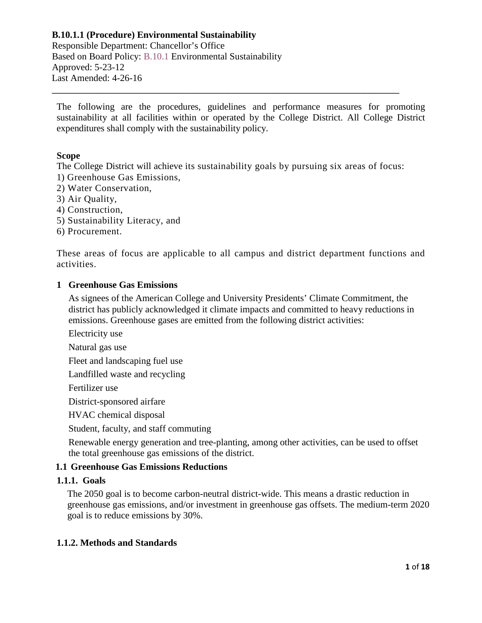Responsible Department: Chancellor's Office Based on Board Policy: B.10.1 Environmental Sustainability Approved: 5-23-12 Last Amended: 4-26-16

The following are the procedures, guidelines and performance measures for promoting sustainability at all facilities within or operated by the College District. All College District expenditures shall comply with the sustainability policy.

\_\_\_\_\_\_\_\_\_\_\_\_\_\_\_\_\_\_\_\_\_\_\_\_\_\_\_\_\_\_\_\_\_\_\_\_\_\_\_\_\_\_\_\_\_\_\_\_\_\_\_\_\_\_\_\_\_\_\_\_\_\_\_\_\_\_\_\_\_

#### **Scope**

The College District will achieve its sustainability goals by pursuing six areas of focus: 1) Greenhouse Gas Emissions,

- 2) Water Conservation,
- 3) Air Quality,
- 4) Construction,
- 5) Sustainability Literacy, and
- 6) Procurement.

These areas of focus are applicable to all campus and district department functions and activities.

#### **1 Greenhouse Gas Emissions**

As signees of the American College and University Presidents' Climate Commitment, the district has publicly acknowledged it climate impacts and committed to heavy reductions in emissions. Greenhouse gases are emitted from the following district activities:

Electricity use

Natural gas use

Fleet and landscaping fuel use

Landfilled waste and recycling

Fertilizer use

District-sponsored airfare

HVAC chemical disposal

Student, faculty, and staff commuting

Renewable energy generation and tree-planting, among other activities, can be used to offset the total greenhouse gas emissions of the district.

#### **1.1 Greenhouse Gas Emissions Reductions**

# **1.1.1. Goals**

The 2050 goal is to become carbon-neutral district-wide. This means a drastic reduction in greenhouse gas emissions, and/or investment in greenhouse gas offsets. The medium-term 2020 goal is to reduce emissions by 30%.

#### **1.1.2. Methods and Standards**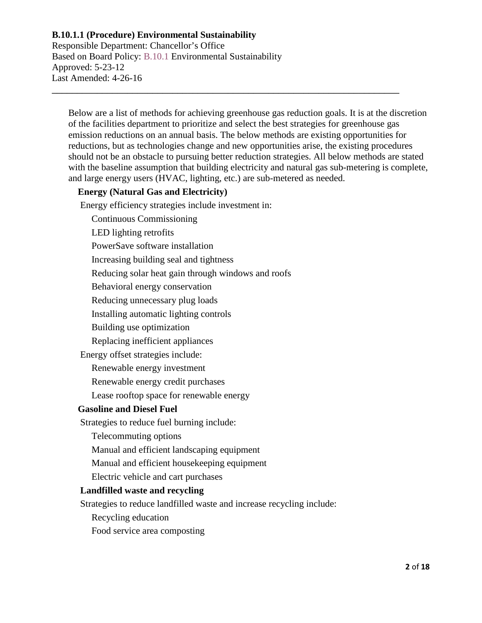Responsible Department: Chancellor's Office Based on Board Policy: B.10.1 Environmental Sustainability Approved: 5-23-12 Last Amended: 4-26-16

Below are a list of methods for achieving greenhouse gas reduction goals. It is at the discretion of the facilities department to prioritize and select the best strategies for greenhouse gas emission reductions on an annual basis. The below methods are existing opportunities for reductions, but as technologies change and new opportunities arise, the existing procedures should not be an obstacle to pursuing better reduction strategies. All below methods are stated with the baseline assumption that building electricity and natural gas sub-metering is complete, and large energy users (HVAC, lighting, etc.) are sub-metered as needed.

\_\_\_\_\_\_\_\_\_\_\_\_\_\_\_\_\_\_\_\_\_\_\_\_\_\_\_\_\_\_\_\_\_\_\_\_\_\_\_\_\_\_\_\_\_\_\_\_\_\_\_\_\_\_\_\_\_\_\_\_\_\_\_\_\_\_\_\_\_

# **Energy (Natural Gas and Electricity)**

Energy efficiency strategies include investment in:

Continuous Commissioning

LED lighting retrofits

PowerSave software installation

Increasing building seal and tightness

Reducing solar heat gain through windows and roofs

Behavioral energy conservation

Reducing unnecessary plug loads

Installing automatic lighting controls

Building use optimization

Replacing inefficient appliances

Energy offset strategies include:

Renewable energy investment

Renewable energy credit purchases

Lease rooftop space for renewable energy

# **Gasoline and Diesel Fuel**

Strategies to reduce fuel burning include:

Telecommuting options

Manual and efficient landscaping equipment

Manual and efficient housekeeping equipment

Electric vehicle and cart purchases

# **Landfilled waste and recycling**

Strategies to reduce landfilled waste and increase recycling include:

Recycling education

Food service area composting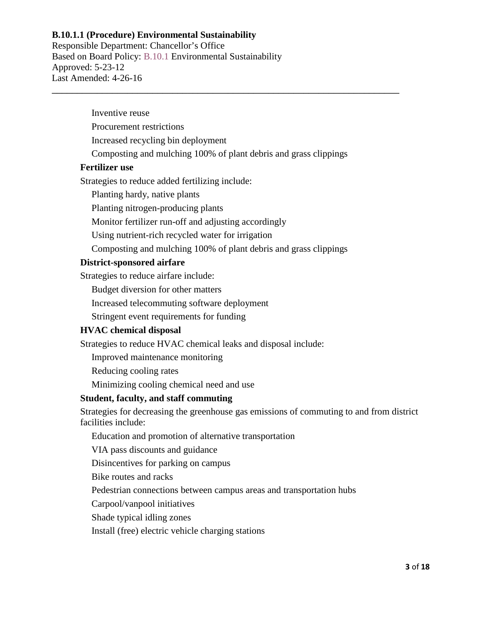Responsible Department: Chancellor's Office Based on Board Policy: B.10.1 Environmental Sustainability Approved: 5-23-12 Last Amended: 4-26-16

Inventive reuse

Procurement restrictions

Increased recycling bin deployment

Composting and mulching 100% of plant debris and grass clippings

\_\_\_\_\_\_\_\_\_\_\_\_\_\_\_\_\_\_\_\_\_\_\_\_\_\_\_\_\_\_\_\_\_\_\_\_\_\_\_\_\_\_\_\_\_\_\_\_\_\_\_\_\_\_\_\_\_\_\_\_\_\_\_\_\_\_\_\_\_

#### **Fertilizer use**

Strategies to reduce added fertilizing include:

Planting hardy, native plants

Planting nitrogen-producing plants

Monitor fertilizer run-off and adjusting accordingly

Using nutrient-rich recycled water for irrigation

Composting and mulching 100% of plant debris and grass clippings

#### **District-sponsored airfare**

Strategies to reduce airfare include:

Budget diversion for other matters

Increased telecommuting software deployment

Stringent event requirements for funding

#### **HVAC chemical disposal**

Strategies to reduce HVAC chemical leaks and disposal include:

Improved maintenance monitoring

Reducing cooling rates

Minimizing cooling chemical need and use

#### **Student, faculty, and staff commuting**

Strategies for decreasing the greenhouse gas emissions of commuting to and from district facilities include:

Education and promotion of alternative transportation

VIA pass discounts and guidance

Disincentives for parking on campus

Bike routes and racks

Pedestrian connections between campus areas and transportation hubs

Carpool/vanpool initiatives

Shade typical idling zones

Install (free) electric vehicle charging stations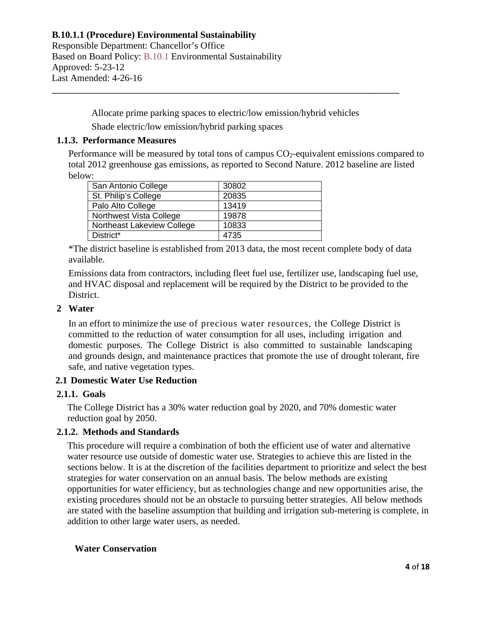Responsible Department: Chancellor's Office Based on Board Policy: B.10.1 Environmental Sustainability Approved: 5-23-12 Last Amended: 4-26-16

> Allocate prime parking spaces to electric/low emission/hybrid vehicles Shade electric/low emission/hybrid parking spaces

\_\_\_\_\_\_\_\_\_\_\_\_\_\_\_\_\_\_\_\_\_\_\_\_\_\_\_\_\_\_\_\_\_\_\_\_\_\_\_\_\_\_\_\_\_\_\_\_\_\_\_\_\_\_\_\_\_\_\_\_\_\_\_\_\_\_\_\_\_

#### **1.1.3. Performance Measures**

Performance will be measured by total tons of campus  $CO<sub>2</sub>$ -equivalent emissions compared to total 2012 greenhouse gas emissions, as reported to Second Nature. 2012 baseline are listed below:

| San Antonio College        | 30802 |
|----------------------------|-------|
| St. Philip's College       | 20835 |
| Palo Alto College          | 13419 |
| Northwest Vista College    | 19878 |
| Northeast Lakeview College | 10833 |
| District*                  | 4735  |

\*The district baseline is established from 2013 data, the most recent complete body of data available.

Emissions data from contractors, including fleet fuel use, fertilizer use, landscaping fuel use, and HVAC disposal and replacement will be required by the District to be provided to the District.

#### **2 Water**

In an effort to minimize the use of precious water resources, the College District is committed to the reduction of water consumption for all uses, including irrigation and domestic purposes. The College District is also committed to sustainable landscaping and grounds design, and maintenance practices that promote the use of drought tolerant, fire safe, and native vegetation types.

# **2.1 Domestic Water Use Reduction**

# **2.1.1. Goals**

The College District has a 30% water reduction goal by 2020, and 70% domestic water reduction goal by 2050.

# **2.1.2. Methods and Standards**

This procedure will require a combination of both the efficient use of water and alternative water resource use outside of domestic water use. Strategies to achieve this are listed in the sections below. It is at the discretion of the facilities department to prioritize and select the best strategies for water conservation on an annual basis. The below methods are existing opportunities for water efficiency, but as technologies change and new opportunities arise, the existing procedures should not be an obstacle to pursuing better strategies. All below methods are stated with the baseline assumption that building and irrigation sub-metering is complete, in addition to other large water users, as needed.

# **Water Conservation**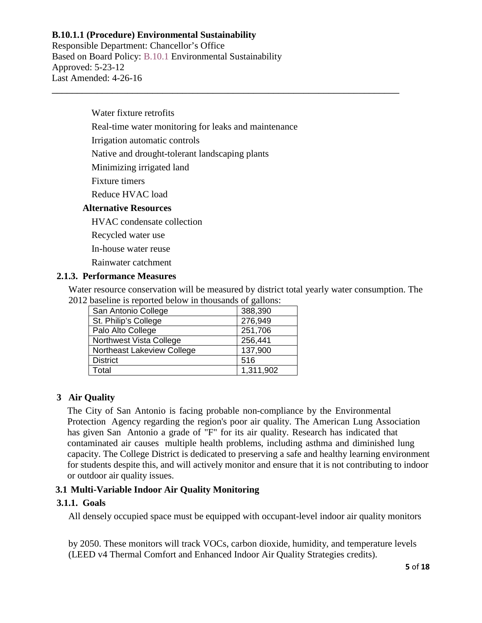Responsible Department: Chancellor's Office Based on Board Policy: B.10.1 Environmental Sustainability Approved: 5-23-12 Last Amended: 4-26-16

Water fixture retrofits

Real-time water monitoring for leaks and maintenance

\_\_\_\_\_\_\_\_\_\_\_\_\_\_\_\_\_\_\_\_\_\_\_\_\_\_\_\_\_\_\_\_\_\_\_\_\_\_\_\_\_\_\_\_\_\_\_\_\_\_\_\_\_\_\_\_\_\_\_\_\_\_\_\_\_\_\_\_\_

Irrigation automatic controls

Native and drought-tolerant landscaping plants

Minimizing irrigated land

Fixture timers

Reduce HVAC load

#### **Alternative Resources**

HVAC condensate collection

Recycled water use

In-house water reuse

Rainwater catchment

#### **2.1.3. Performance Measures**

Water resource conservation will be measured by district total yearly water consumption. The 2012 baseline is reported below in thousands of gallons:

| San Antonio College            | 388,390   |
|--------------------------------|-----------|
| St. Philip's College           | 276,949   |
| Palo Alto College              | 251,706   |
| <b>Northwest Vista College</b> | 256,441   |
| Northeast Lakeview College     | 137,900   |
| <b>District</b>                | 516       |
| Total                          | 1,311,902 |

# **3 Air Quality**

The City of San Antonio is facing probable non-compliance by the Environmental Protection Agency regarding the region's poor air quality. The American Lung Association has given San Antonio a grade of "F" for its air quality. Research has indicated that contaminated air causes multiple health problems, including asthma and diminished lung capacity. The College District is dedicated to preserving a safe and healthy learning environment for students despite this, and will actively monitor and ensure that it is not contributing to indoor or outdoor air quality issues.

# **3.1 Multi-Variable Indoor Air Quality Monitoring**

# **3.1.1. Goals**

All densely occupied space must be equipped with occupant-level indoor air quality monitors

by 2050. These monitors will track VOCs, carbon dioxide, humidity, and temperature levels (LEED v4 Thermal Comfort and Enhanced Indoor Air Quality Strategies credits).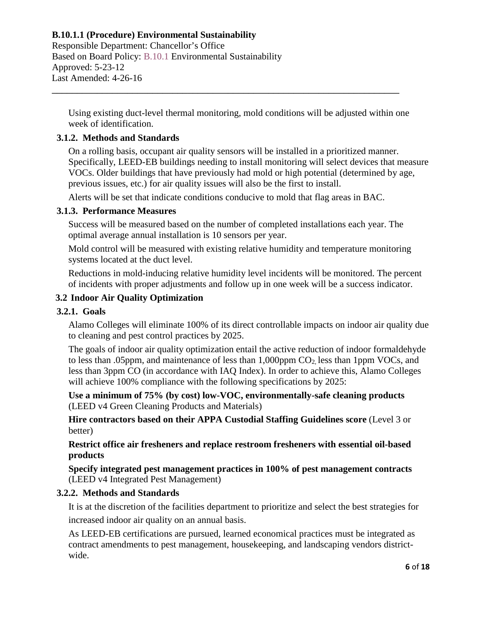Responsible Department: Chancellor's Office Based on Board Policy: B.10.1 Environmental Sustainability Approved: 5-23-12 Last Amended: 4-26-16

Using existing duct-level thermal monitoring, mold conditions will be adjusted within one week of identification.

\_\_\_\_\_\_\_\_\_\_\_\_\_\_\_\_\_\_\_\_\_\_\_\_\_\_\_\_\_\_\_\_\_\_\_\_\_\_\_\_\_\_\_\_\_\_\_\_\_\_\_\_\_\_\_\_\_\_\_\_\_\_\_\_\_\_\_\_\_

# **3.1.2. Methods and Standards**

On a rolling basis, occupant air quality sensors will be installed in a prioritized manner. Specifically, LEED-EB buildings needing to install monitoring will select devices that measure VOCs. Older buildings that have previously had mold or high potential (determined by age, previous issues, etc.) for air quality issues will also be the first to install.

Alerts will be set that indicate conditions conducive to mold that flag areas in BAC.

#### **3.1.3. Performance Measures**

Success will be measured based on the number of completed installations each year. The optimal average annual installation is 10 sensors per year.

Mold control will be measured with existing relative humidity and temperature monitoring systems located at the duct level.

Reductions in mold-inducing relative humidity level incidents will be monitored. The percent of incidents with proper adjustments and follow up in one week will be a success indicator.

#### **3.2 Indoor Air Quality Optimization**

#### **3.2.1. Goals**

Alamo Colleges will eliminate 100% of its direct controllable impacts on indoor air quality due to cleaning and pest control practices by 2025.

The goals of indoor air quality optimization entail the active reduction of indoor formaldehyde to less than .05ppm, and maintenance of less than  $1,000$ ppm  $CO<sub>2</sub>$  less than 1ppm VOCs, and less than 3ppm CO (in accordance with IAQ Index). In order to achieve this, Alamo Colleges will achieve 100% compliance with the following specifications by 2025:

**Use a minimum of 75% (by cost) low-VOC, environmentally-safe cleaning products** (LEED v4 Green Cleaning Products and Materials)

**Hire contractors based on their APPA Custodial Staffing Guidelines score** (Level 3 or better)

**Restrict office air fresheners and replace restroom fresheners with essential oil-based products**

**Specify integrated pest management practices in 100% of pest management contracts** (LEED v4 Integrated Pest Management)

#### **3.2.2. Methods and Standards**

It is at the discretion of the facilities department to prioritize and select the best strategies for increased indoor air quality on an annual basis.

As LEED-EB certifications are pursued, learned economical practices must be integrated as contract amendments to pest management, housekeeping, and landscaping vendors districtwide.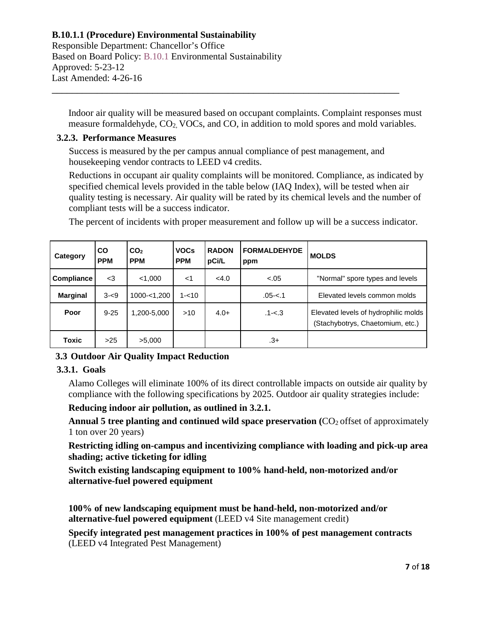Responsible Department: Chancellor's Office Based on Board Policy: B.10.1 Environmental Sustainability Approved: 5-23-12 Last Amended: 4-26-16

Indoor air quality will be measured based on occupant complaints. Complaint responses must measure formaldehyde, CO2, VOCs, and CO, in addition to mold spores and mold variables.

#### **3.2.3. Performance Measures**

Success is measured by the per campus annual compliance of pest management, and housekeeping vendor contracts to LEED v4 credits.

\_\_\_\_\_\_\_\_\_\_\_\_\_\_\_\_\_\_\_\_\_\_\_\_\_\_\_\_\_\_\_\_\_\_\_\_\_\_\_\_\_\_\_\_\_\_\_\_\_\_\_\_\_\_\_\_\_\_\_\_\_\_\_\_\_\_\_\_\_

Reductions in occupant air quality complaints will be monitored. Compliance, as indicated by specified chemical levels provided in the table below (IAQ Index), will be tested when air quality testing is necessary. Air quality will be rated by its chemical levels and the number of compliant tests will be a success indicator.

The percent of incidents with proper measurement and follow up will be a success indicator.

| Category          | <b>CO</b><br><b>PPM</b> | CO <sub>2</sub><br><b>PPM</b> | <b>VOCs</b><br><b>PPM</b> | <b>RADON</b><br>pCi/L | <b>FORMALDEHYDE</b><br>ppm | <b>MOLDS</b>                                                             |
|-------------------|-------------------------|-------------------------------|---------------------------|-----------------------|----------------------------|--------------------------------------------------------------------------|
| <b>Compliance</b> | $<$ 3                   | < 1,000                       | $<$ 1                     | <4.0                  | $-.05$                     | "Normal" spore types and levels                                          |
| <b>Marginal</b>   | $3 - 9$                 | 1000-<1,200                   | $1 - 10$                  |                       | $.05 - 1$                  | Elevated levels common molds                                             |
| Poor              | $9 - 25$                | 1,200-5,000                   | >10                       | $4.0+$                | $.1 - 3$                   | Elevated levels of hydrophilic molds<br>(Stachybotrys, Chaetomium, etc.) |
| Toxic             | >25                     | >5,000                        |                           |                       | .3+                        |                                                                          |

# **3.3 Outdoor Air Quality Impact Reduction**

# **3.3.1. Goals**

Alamo Colleges will eliminate 100% of its direct controllable impacts on outside air quality by compliance with the following specifications by 2025. Outdoor air quality strategies include:

# **Reducing indoor air pollution, as outlined in 3.2.1.**

Annual 5 tree planting and continued wild space preservation (CO<sub>2</sub> offset of approximately 1 ton over 20 years)

**Restricting idling on-campus and incentivizing compliance with loading and pick-up area shading; active ticketing for idling**

**Switch existing landscaping equipment to 100% hand-held, non-motorized and/or alternative-fuel powered equipment**

**100% of new landscaping equipment must be hand-held, non-motorized and/or alternative-fuel powered equipment** (LEED v4 Site management credit)

**Specify integrated pest management practices in 100% of pest management contracts** (LEED v4 Integrated Pest Management)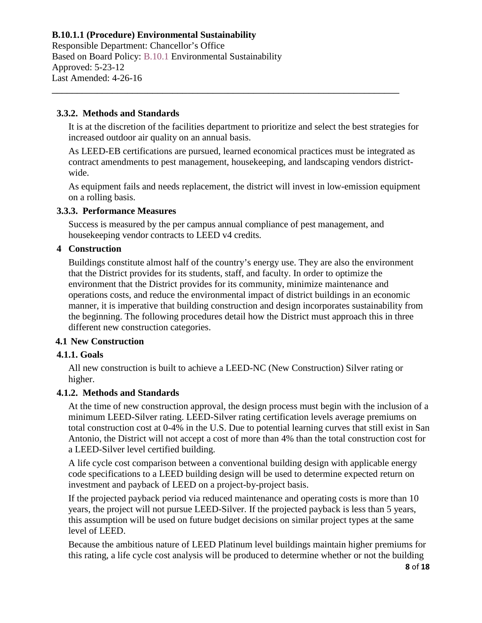Responsible Department: Chancellor's Office Based on Board Policy: B.10.1 Environmental Sustainability Approved: 5-23-12 Last Amended: 4-26-16

#### **3.3.2. Methods and Standards**

It is at the discretion of the facilities department to prioritize and select the best strategies for increased outdoor air quality on an annual basis.

\_\_\_\_\_\_\_\_\_\_\_\_\_\_\_\_\_\_\_\_\_\_\_\_\_\_\_\_\_\_\_\_\_\_\_\_\_\_\_\_\_\_\_\_\_\_\_\_\_\_\_\_\_\_\_\_\_\_\_\_\_\_\_\_\_\_\_\_\_

As LEED-EB certifications are pursued, learned economical practices must be integrated as contract amendments to pest management, housekeeping, and landscaping vendors districtwide.

As equipment fails and needs replacement, the district will invest in low-emission equipment on a rolling basis.

#### **3.3.3. Performance Measures**

Success is measured by the per campus annual compliance of pest management, and housekeeping vendor contracts to LEED v4 credits.

# **4 Construction**

Buildings constitute almost half of the country's energy use. They are also the environment that the District provides for its students, staff, and faculty. In order to optimize the environment that the District provides for its community, minimize maintenance and operations costs, and reduce the environmental impact of district buildings in an economic manner, it is imperative that building construction and design incorporates sustainability from the beginning. The following procedures detail how the District must approach this in three different new construction categories.

# **4.1 New Construction**

# **4.1.1. Goals**

All new construction is built to achieve a LEED-NC (New Construction) Silver rating or higher.

# **4.1.2. Methods and Standards**

At the time of new construction approval, the design process must begin with the inclusion of a minimum LEED-Silver rating. LEED-Silver rating certification levels average premiums on total construction cost at 0-4% in the U.S. Due to potential learning curves that still exist in San Antonio, the District will not accept a cost of more than 4% than the total construction cost for a LEED-Silver level certified building.

A life cycle cost comparison between a conventional building design with applicable energy code specifications to a LEED building design will be used to determine expected return on investment and payback of LEED on a project-by-project basis.

If the projected payback period via reduced maintenance and operating costs is more than 10 years, the project will not pursue LEED-Silver. If the projected payback is less than 5 years, this assumption will be used on future budget decisions on similar project types at the same level of LEED.

Because the ambitious nature of LEED Platinum level buildings maintain higher premiums for this rating, a life cycle cost analysis will be produced to determine whether or not the building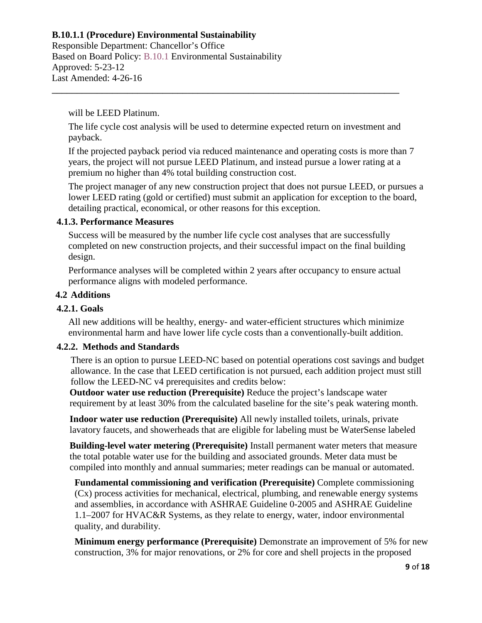Responsible Department: Chancellor's Office Based on Board Policy: B.10.1 Environmental Sustainability Approved: 5-23-12 Last Amended: 4-26-16

will be LEED Platinum.

The life cycle cost analysis will be used to determine expected return on investment and payback.

\_\_\_\_\_\_\_\_\_\_\_\_\_\_\_\_\_\_\_\_\_\_\_\_\_\_\_\_\_\_\_\_\_\_\_\_\_\_\_\_\_\_\_\_\_\_\_\_\_\_\_\_\_\_\_\_\_\_\_\_\_\_\_\_\_\_\_\_\_

If the projected payback period via reduced maintenance and operating costs is more than 7 years, the project will not pursue LEED Platinum, and instead pursue a lower rating at a premium no higher than 4% total building construction cost.

The project manager of any new construction project that does not pursue LEED, or pursues a lower LEED rating (gold or certified) must submit an application for exception to the board, detailing practical, economical, or other reasons for this exception.

#### **4.1.3. Performance Measures**

Success will be measured by the number life cycle cost analyses that are successfully completed on new construction projects, and their successful impact on the final building design.

Performance analyses will be completed within 2 years after occupancy to ensure actual performance aligns with modeled performance.

# **4.2 Additions**

# **4.2.1. Goals**

All new additions will be healthy, energy- and water-efficient structures which minimize environmental harm and have lower life cycle costs than a conventionally-built addition.

#### **4.2.2. Methods and Standards**

There is an option to pursue LEED-NC based on potential operations cost savings and budget allowance. In the case that LEED certification is not pursued, each addition project must still follow the LEED-NC v4 prerequisites and credits below:

**Outdoor water use reduction (Prerequisite)** Reduce the project's landscape water requirement by at least 30% from the calculated baseline for the site's peak watering month.

**Indoor water use reduction (Prerequisite)** All newly installed toilets, urinals, private lavatory faucets, and showerheads that are eligible for labeling must be WaterSense labeled

**Building-level water metering (Prerequisite)** Install permanent water meters that measure the total potable water use for the building and associated grounds. Meter data must be compiled into monthly and annual summaries; meter readings can be manual or automated.

**Fundamental commissioning and verification (Prerequisite)** Complete commissioning (Cx) process activities for mechanical, electrical, plumbing, and renewable energy systems and assemblies, in accordance with ASHRAE Guideline 0-2005 and ASHRAE Guideline 1.1–2007 for HVAC&R Systems, as they relate to energy, water, indoor environmental quality, and durability.

**Minimum energy performance (Prerequisite)** Demonstrate an improvement of 5% for new construction, 3% for major renovations, or 2% for core and shell projects in the proposed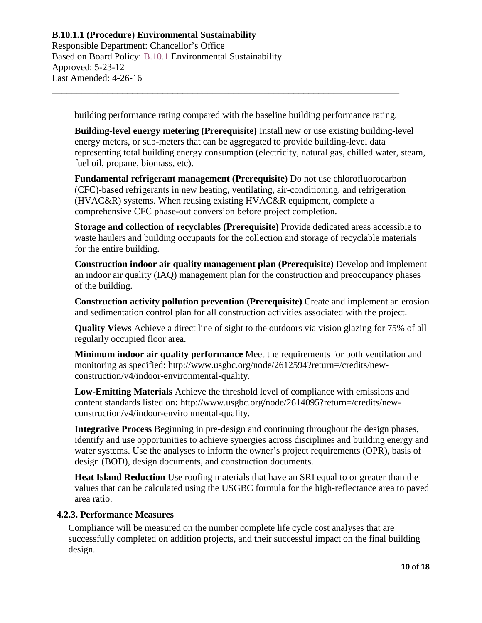Responsible Department: Chancellor's Office Based on Board Policy: B.10.1 Environmental Sustainability Approved: 5-23-12 Last Amended: 4-26-16

building performance rating compared with the baseline building performance rating.

\_\_\_\_\_\_\_\_\_\_\_\_\_\_\_\_\_\_\_\_\_\_\_\_\_\_\_\_\_\_\_\_\_\_\_\_\_\_\_\_\_\_\_\_\_\_\_\_\_\_\_\_\_\_\_\_\_\_\_\_\_\_\_\_\_\_\_\_\_

**Building-level energy metering (Prerequisite)** Install new or use existing building-level energy meters, or sub-meters that can be aggregated to provide building-level data representing total building energy consumption (electricity, natural gas, chilled water, steam, fuel oil, propane, biomass, etc).

**Fundamental refrigerant management (Prerequisite)** Do not use chlorofluorocarbon (CFC)-based refrigerants in new heating, ventilating, air-conditioning, and refrigeration (HVAC&R) systems. When reusing existing HVAC&R equipment, complete a comprehensive CFC phase-out conversion before project completion.

**Storage and collection of recyclables (Prerequisite)** Provide dedicated areas accessible to waste haulers and building occupants for the collection and storage of recyclable materials for the entire building.

**Construction indoor air quality management plan (Prerequisite)** Develop and implement an indoor air quality (IAQ) management plan for the construction and preoccupancy phases of the building.

**Construction activity pollution prevention (Prerequisite)** Create and implement an erosion and sedimentation control plan for all construction activities associated with the project.

**Quality Views** Achieve a direct line of sight to the outdoors via vision glazing for 75% of all regularly occupied floor area.

**Minimum indoor air quality performance** Meet the requirements for both ventilation and monitoring as specified: http://www.usgbc.org/node/2612594?return=/credits/newconstruction/v4/indoor-environmental-quality.

**Low-Emitting Materials** Achieve the threshold level of compliance with emissions and content standards listed on**:** http://www.usgbc.org/node/2614095?return=/credits/newconstruction/v4/indoor-environmental-quality.

**Integrative Process** Beginning in pre-design and continuing throughout the design phases, identify and use opportunities to achieve synergies across disciplines and building energy and water systems. Use the analyses to inform the owner's project requirements (OPR), basis of design (BOD), design documents, and construction documents.

**Heat Island Reduction** Use roofing materials that have an SRI equal to or greater than the values that can be calculated using the USGBC formula for the high-reflectance area to paved area ratio.

# **4.2.3. Performance Measures**

Compliance will be measured on the number complete life cycle cost analyses that are successfully completed on addition projects, and their successful impact on the final building design.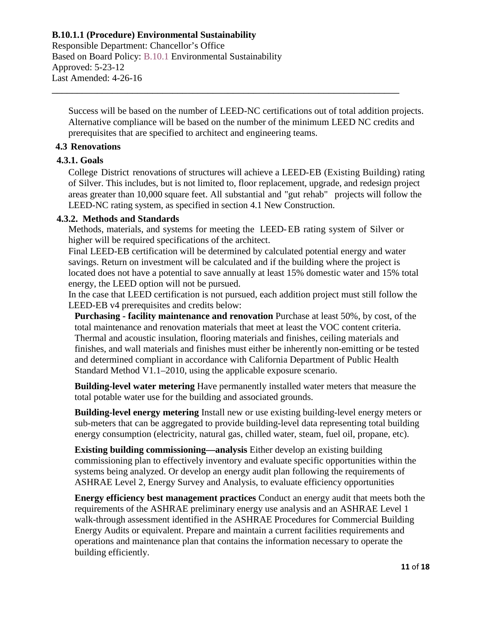Responsible Department: Chancellor's Office Based on Board Policy: B.10.1 Environmental Sustainability Approved: 5-23-12 Last Amended: 4-26-16

Success will be based on the number of LEED-NC certifications out of total addition projects. Alternative compliance will be based on the number of the minimum LEED NC credits and prerequisites that are specified to architect and engineering teams.

\_\_\_\_\_\_\_\_\_\_\_\_\_\_\_\_\_\_\_\_\_\_\_\_\_\_\_\_\_\_\_\_\_\_\_\_\_\_\_\_\_\_\_\_\_\_\_\_\_\_\_\_\_\_\_\_\_\_\_\_\_\_\_\_\_\_\_\_\_

# **4.3 Renovations**

#### **4.3.1. Goals**

College District renovations of structures will achieve a LEED-EB (Existing Building) rating of Silver. This includes, but is not limited to, floor replacement, upgrade, and redesign project areas greater than 10,000 square feet. All substantial and "gut rehab" projects will follow the LEED-NC rating system, as specified in section 4.1 New Construction.

# **4.3.2. Methods and Standards**

Methods, materials, and systems for meeting the LEED-EB rating system of Silver or higher will be required specifications of the architect.

Final LEED-EB certification will be determined by calculated potential energy and water savings. Return on investment will be calculated and if the building where the project is located does not have a potential to save annually at least 15% domestic water and 15% total energy, the LEED option will not be pursued.

In the case that LEED certification is not pursued, each addition project must still follow the LEED-EB v4 prerequisites and credits below:

**Purchasing - facility maintenance and renovation** Purchase at least 50%, by cost, of the total maintenance and renovation materials that meet at least the VOC content criteria. Thermal and acoustic insulation, flooring materials and finishes, ceiling materials and finishes, and wall materials and finishes must either be inherently non-emitting or be tested and determined compliant in accordance with California Department of Public Health Standard Method V1.1–2010, using the applicable exposure scenario.

**Building-level water metering** Have permanently installed water meters that measure the total potable water use for the building and associated grounds.

**Building-level energy metering** Install new or use existing building-level energy meters or sub-meters that can be aggregated to provide building-level data representing total building energy consumption (electricity, natural gas, chilled water, steam, fuel oil, propane, etc).

**Existing building commissioning—analysis** Either develop an existing building commissioning plan to effectively inventory and evaluate specific opportunities within the systems being analyzed. Or develop an energy audit plan following the requirements of ASHRAE Level 2, Energy Survey and Analysis, to evaluate efficiency opportunities

**Energy efficiency best management practices** Conduct an energy audit that meets both the requirements of the ASHRAE preliminary energy use analysis and an ASHRAE Level 1 walk-through assessment identified in the ASHRAE Procedures for Commercial Building Energy Audits or equivalent. Prepare and maintain a current facilities requirements and operations and maintenance plan that contains the information necessary to operate the building efficiently.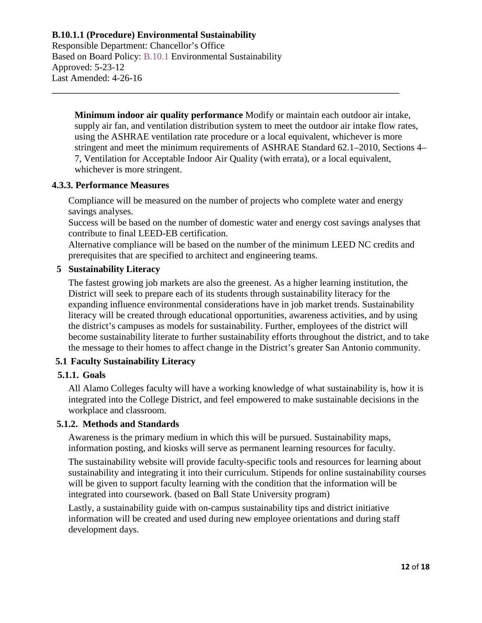Responsible Department: Chancellor's Office Based on Board Policy: B.10.1 Environmental Sustainability Approved: 5-23-12 Last Amended: 4-26-16

**Minimum indoor air quality performance** Modify or maintain each outdoor air intake, supply air fan, and ventilation distribution system to meet the outdoor air intake flow rates, using the ASHRAE ventilation rate procedure or a local equivalent, whichever is more stringent and meet the minimum requirements of ASHRAE Standard 62.1–2010, Sections 4– 7, Ventilation for Acceptable Indoor Air Quality (with errata), or a local equivalent, whichever is more stringent.

#### **4.3.3. Performance Measures**

Compliance will be measured on the number of projects who complete water and energy savings analyses.

\_\_\_\_\_\_\_\_\_\_\_\_\_\_\_\_\_\_\_\_\_\_\_\_\_\_\_\_\_\_\_\_\_\_\_\_\_\_\_\_\_\_\_\_\_\_\_\_\_\_\_\_\_\_\_\_\_\_\_\_\_\_\_\_\_\_\_\_\_

Success will be based on the number of domestic water and energy cost savings analyses that contribute to final LEED-EB certification.

Alternative compliance will be based on the number of the minimum LEED NC credits and prerequisites that are specified to architect and engineering teams.

# **5 Sustainability Literacy**

The fastest growing job markets are also the greenest. As a higher learning institution, the District will seek to prepare each of its students through sustainability literacy for the expanding influence environmental considerations have in job market trends. Sustainability literacy will be created through educational opportunities, awareness activities, and by using the district's campuses as models for sustainability. Further, employees of the district will become sustainability literate to further sustainability efforts throughout the district, and to take the message to their homes to affect change in the District's greater San Antonio community.

# **5.1 Faculty Sustainability Literacy**

# **5.1.1. Goals**

All Alamo Colleges faculty will have a working knowledge of what sustainability is, how it is integrated into the College District, and feel empowered to make sustainable decisions in the workplace and classroom.

# **5.1.2. Methods and Standards**

Awareness is the primary medium in which this will be pursued. Sustainability maps, information posting, and kiosks will serve as permanent learning resources for faculty.

The sustainability website will provide faculty-specific tools and resources for learning about sustainability and integrating it into their curriculum. Stipends for online sustainability courses will be given to support faculty learning with the condition that the information will be integrated into coursework. (based on Ball State University program)

Lastly, a sustainability guide with on-campus sustainability tips and district initiative information will be created and used during new employee orientations and during staff development days.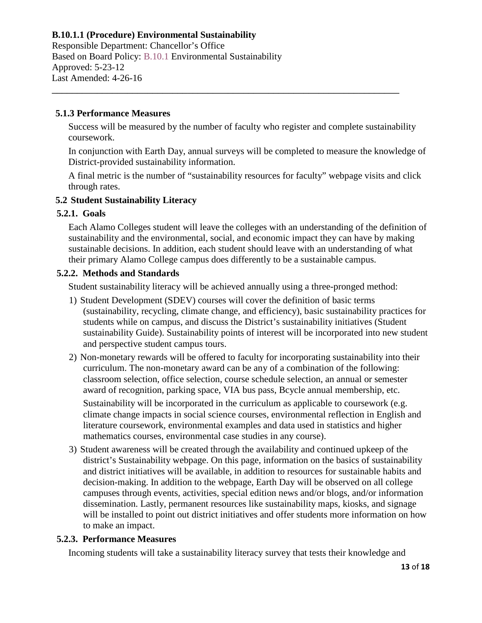Responsible Department: Chancellor's Office Based on Board Policy: B.10.1 Environmental Sustainability Approved: 5-23-12 Last Amended: 4-26-16

#### **5.1.3 Performance Measures**

Success will be measured by the number of faculty who register and complete sustainability coursework.

\_\_\_\_\_\_\_\_\_\_\_\_\_\_\_\_\_\_\_\_\_\_\_\_\_\_\_\_\_\_\_\_\_\_\_\_\_\_\_\_\_\_\_\_\_\_\_\_\_\_\_\_\_\_\_\_\_\_\_\_\_\_\_\_\_\_\_\_\_

In conjunction with Earth Day, annual surveys will be completed to measure the knowledge of District-provided sustainability information.

A final metric is the number of "sustainability resources for faculty" webpage visits and click through rates.

# **5.2 Student Sustainability Literacy**

#### **5.2.1. Goals**

Each Alamo Colleges student will leave the colleges with an understanding of the definition of sustainability and the environmental, social, and economic impact they can have by making sustainable decisions. In addition, each student should leave with an understanding of what their primary Alamo College campus does differently to be a sustainable campus.

# **5.2.2. Methods and Standards**

Student sustainability literacy will be achieved annually using a three-pronged method:

- 1) Student Development (SDEV) courses will cover the definition of basic terms (sustainability, recycling, climate change, and efficiency), basic sustainability practices for students while on campus, and discuss the District's sustainability initiatives (Student sustainability Guide). Sustainability points of interest will be incorporated into new student and perspective student campus tours.
- 2) Non-monetary rewards will be offered to faculty for incorporating sustainability into their curriculum. The non-monetary award can be any of a combination of the following: classroom selection, office selection, course schedule selection, an annual or semester award of recognition, parking space, VIA bus pass, Bcycle annual membership, etc.

Sustainability will be incorporated in the curriculum as applicable to coursework (e.g. climate change impacts in social science courses, environmental reflection in English and literature coursework, environmental examples and data used in statistics and higher mathematics courses, environmental case studies in any course).

3) Student awareness will be created through the availability and continued upkeep of the district's Sustainability webpage. On this page, information on the basics of sustainability and district initiatives will be available, in addition to resources for sustainable habits and decision-making. In addition to the webpage, Earth Day will be observed on all college campuses through events, activities, special edition news and/or blogs, and/or information dissemination. Lastly, permanent resources like sustainability maps, kiosks, and signage will be installed to point out district initiatives and offer students more information on how to make an impact.

# **5.2.3. Performance Measures**

Incoming students will take a sustainability literacy survey that tests their knowledge and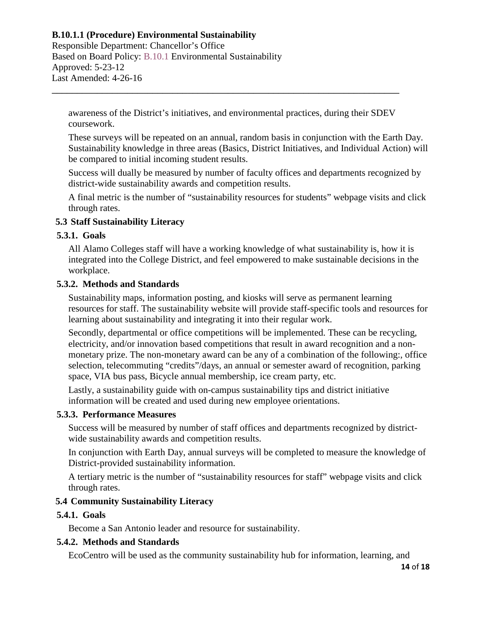Responsible Department: Chancellor's Office Based on Board Policy: B.10.1 Environmental Sustainability Approved: 5-23-12 Last Amended: 4-26-16

awareness of the District's initiatives, and environmental practices, during their SDEV coursework.

\_\_\_\_\_\_\_\_\_\_\_\_\_\_\_\_\_\_\_\_\_\_\_\_\_\_\_\_\_\_\_\_\_\_\_\_\_\_\_\_\_\_\_\_\_\_\_\_\_\_\_\_\_\_\_\_\_\_\_\_\_\_\_\_\_\_\_\_\_

These surveys will be repeated on an annual, random basis in conjunction with the Earth Day. Sustainability knowledge in three areas (Basics, District Initiatives, and Individual Action) will be compared to initial incoming student results.

Success will dually be measured by number of faculty offices and departments recognized by district-wide sustainability awards and competition results.

A final metric is the number of "sustainability resources for students" webpage visits and click through rates.

# **5.3 Staff Sustainability Literacy**

# **5.3.1. Goals**

All Alamo Colleges staff will have a working knowledge of what sustainability is, how it is integrated into the College District, and feel empowered to make sustainable decisions in the workplace.

# **5.3.2. Methods and Standards**

Sustainability maps, information posting, and kiosks will serve as permanent learning resources for staff. The sustainability website will provide staff-specific tools and resources for learning about sustainability and integrating it into their regular work.

Secondly, departmental or office competitions will be implemented. These can be recycling, electricity, and/or innovation based competitions that result in award recognition and a nonmonetary prize. The non-monetary award can be any of a combination of the following:, office selection, telecommuting "credits"/days, an annual or semester award of recognition, parking space, VIA bus pass, Bicycle annual membership, ice cream party, etc.

Lastly, a sustainability guide with on-campus sustainability tips and district initiative information will be created and used during new employee orientations.

# **5.3.3. Performance Measures**

Success will be measured by number of staff offices and departments recognized by districtwide sustainability awards and competition results.

In conjunction with Earth Day, annual surveys will be completed to measure the knowledge of District-provided sustainability information.

A tertiary metric is the number of "sustainability resources for staff" webpage visits and click through rates.

# **5.4 Community Sustainability Literacy**

# **5.4.1. Goals**

Become a San Antonio leader and resource for sustainability.

# **5.4.2. Methods and Standards**

EcoCentro will be used as the community sustainability hub for information, learning, and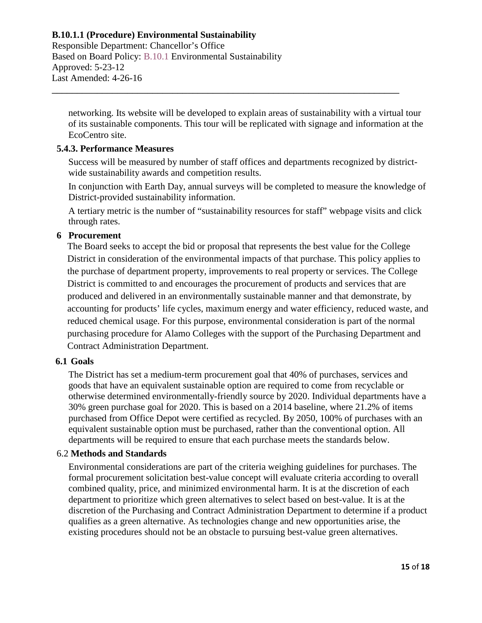Responsible Department: Chancellor's Office Based on Board Policy: B.10.1 Environmental Sustainability Approved: 5-23-12 Last Amended: 4-26-16

networking. Its website will be developed to explain areas of sustainability with a virtual tour of its sustainable components. This tour will be replicated with signage and information at the EcoCentro site.

\_\_\_\_\_\_\_\_\_\_\_\_\_\_\_\_\_\_\_\_\_\_\_\_\_\_\_\_\_\_\_\_\_\_\_\_\_\_\_\_\_\_\_\_\_\_\_\_\_\_\_\_\_\_\_\_\_\_\_\_\_\_\_\_\_\_\_\_\_

# **5.4.3. Performance Measures**

Success will be measured by number of staff offices and departments recognized by districtwide sustainability awards and competition results.

In conjunction with Earth Day, annual surveys will be completed to measure the knowledge of District-provided sustainability information.

A tertiary metric is the number of "sustainability resources for staff" webpage visits and click through rates.

#### **6 Procurement**

The Board seeks to accept the bid or proposal that represents the best value for the College District in consideration of the environmental impacts of that purchase. This policy applies to the purchase of department property, improvements to real property or services. The College District is committed to and encourages the procurement of products and services that are produced and delivered in an environmentally sustainable manner and that demonstrate, by accounting for products' life cycles, maximum energy and water efficiency, reduced waste, and reduced chemical usage. For this purpose, environmental consideration is part of the normal purchasing procedure for Alamo Colleges with the support of the Purchasing Department and Contract Administration Department.

#### **6.1 Goals**

The District has set a medium-term procurement goal that 40% of purchases, services and goods that have an equivalent sustainable option are required to come from recyclable or otherwise determined environmentally-friendly source by 2020. Individual departments have a 30% green purchase goal for 2020. This is based on a 2014 baseline, where 21.2% of items purchased from Office Depot were certified as recycled. By 2050, 100% of purchases with an equivalent sustainable option must be purchased, rather than the conventional option. All departments will be required to ensure that each purchase meets the standards below.

#### 6.2 **Methods and Standards**

Environmental considerations are part of the criteria weighing guidelines for purchases. The formal procurement solicitation best-value concept will evaluate criteria according to overall combined quality, price, and minimized environmental harm. It is at the discretion of each department to prioritize which green alternatives to select based on best-value. It is at the discretion of the Purchasing and Contract Administration Department to determine if a product qualifies as a green alternative. As technologies change and new opportunities arise, the existing procedures should not be an obstacle to pursuing best-value green alternatives.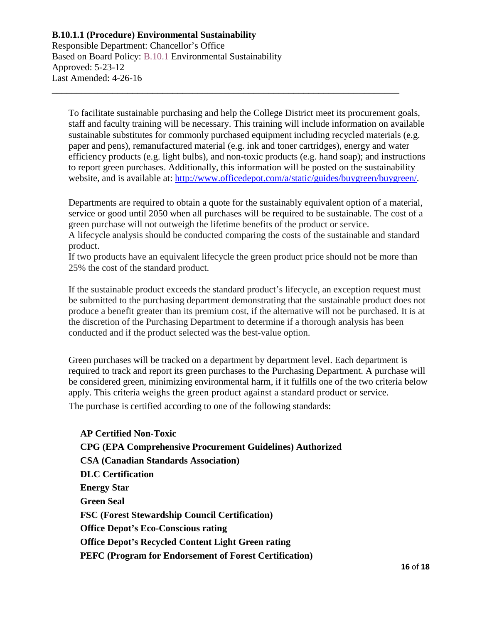Responsible Department: Chancellor's Office Based on Board Policy: B.10.1 Environmental Sustainability Approved: 5-23-12 Last Amended: 4-26-16

To facilitate sustainable purchasing and help the College District meet its procurement goals, staff and faculty training will be necessary. This training will include information on available sustainable substitutes for commonly purchased equipment including recycled materials (e.g. paper and pens), remanufactured material (e.g. ink and toner cartridges), energy and water efficiency products (e.g. light bulbs), and non-toxic products (e.g. hand soap); and instructions to report green purchases. Additionally, this information will be posted on the sustainability website, and is available at: [http://www.officedepot.com/a/static/guides/buygreen/buygreen/.](http://www.officedepot.com/a/static/guides/buygreen/buygreen/)

\_\_\_\_\_\_\_\_\_\_\_\_\_\_\_\_\_\_\_\_\_\_\_\_\_\_\_\_\_\_\_\_\_\_\_\_\_\_\_\_\_\_\_\_\_\_\_\_\_\_\_\_\_\_\_\_\_\_\_\_\_\_\_\_\_\_\_\_\_

Departments are required to obtain a quote for the sustainably equivalent option of a material, service or good until 2050 when all purchases will be required to be sustainable. The cost of a green purchase will not outweigh the lifetime benefits of the product or service.

A lifecycle analysis should be conducted comparing the costs of the sustainable and standard product.

If two products have an equivalent lifecycle the green product price should not be more than 25% the cost of the standard product.

If the sustainable product exceeds the standard product's lifecycle, an exception request must be submitted to the purchasing department demonstrating that the sustainable product does not produce a benefit greater than its premium cost, if the alternative will not be purchased. It is at the discretion of the Purchasing Department to determine if a thorough analysis has been conducted and if the product selected was the best-value option.

Green purchases will be tracked on a department by department level. Each department is required to track and report its green purchases to the Purchasing Department. A purchase will be considered green, minimizing environmental harm, if it fulfills one of the two criteria below apply. This criteria weighs the green product against a standard product or service. The purchase is certified according to one of the following standards:

**AP Certified Non-Toxic CPG (EPA Comprehensive Procurement Guidelines) Authorized CSA (Canadian Standards Association) DLC Certification Energy Star Green Seal FSC (Forest Stewardship Council Certification) Office Depot's Eco-Conscious rating Office Depot's Recycled Content Light Green rating PEFC (Program for Endorsement of Forest Certification)**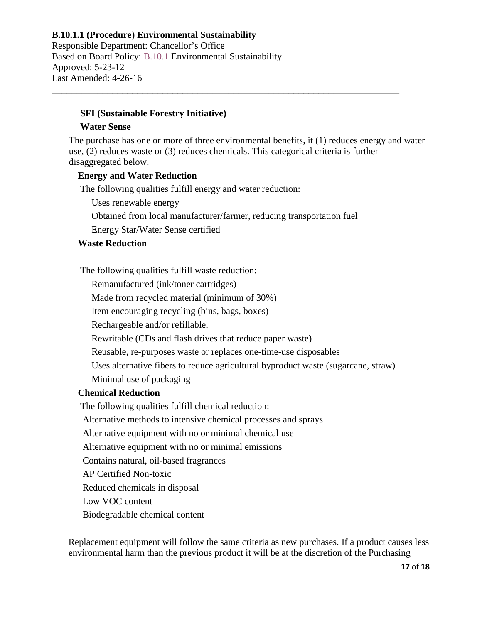Responsible Department: Chancellor's Office Based on Board Policy: B.10.1 Environmental Sustainability Approved: 5-23-12 Last Amended: 4-26-16

#### **SFI (Sustainable Forestry Initiative)**

#### **Water Sense**

The purchase has one or more of three environmental benefits, it (1) reduces energy and water use, (2) reduces waste or (3) reduces chemicals. This categorical criteria is further disaggregated below.

#### **Energy and Water Reduction**

The following qualities fulfill energy and water reduction:

Uses renewable energy

Obtained from local manufacturer/farmer, reducing transportation fuel

\_\_\_\_\_\_\_\_\_\_\_\_\_\_\_\_\_\_\_\_\_\_\_\_\_\_\_\_\_\_\_\_\_\_\_\_\_\_\_\_\_\_\_\_\_\_\_\_\_\_\_\_\_\_\_\_\_\_\_\_\_\_\_\_\_\_\_\_\_

Energy Star/Water Sense certified

# **Waste Reduction**

The following qualities fulfill waste reduction:

Remanufactured (ink/toner cartridges)

Made from recycled material (minimum of 30%)

Item encouraging recycling (bins, bags, boxes)

Rechargeable and/or refillable,

Rewritable (CDs and flash drives that reduce paper waste)

Reusable, re-purposes waste or replaces one-time-use disposables

Uses alternative fibers to reduce agricultural byproduct waste (sugarcane, straw)

Minimal use of packaging

#### **Chemical Reduction**

The following qualities fulfill chemical reduction:

Alternative methods to intensive chemical processes and sprays

Alternative equipment with no or minimal chemical use

Alternative equipment with no or minimal emissions

Contains natural, oil-based fragrances

AP Certified Non-toxic

Reduced chemicals in disposal

Low VOC content

Biodegradable chemical content

Replacement equipment will follow the same criteria as new purchases. If a product causes less environmental harm than the previous product it will be at the discretion of the Purchasing